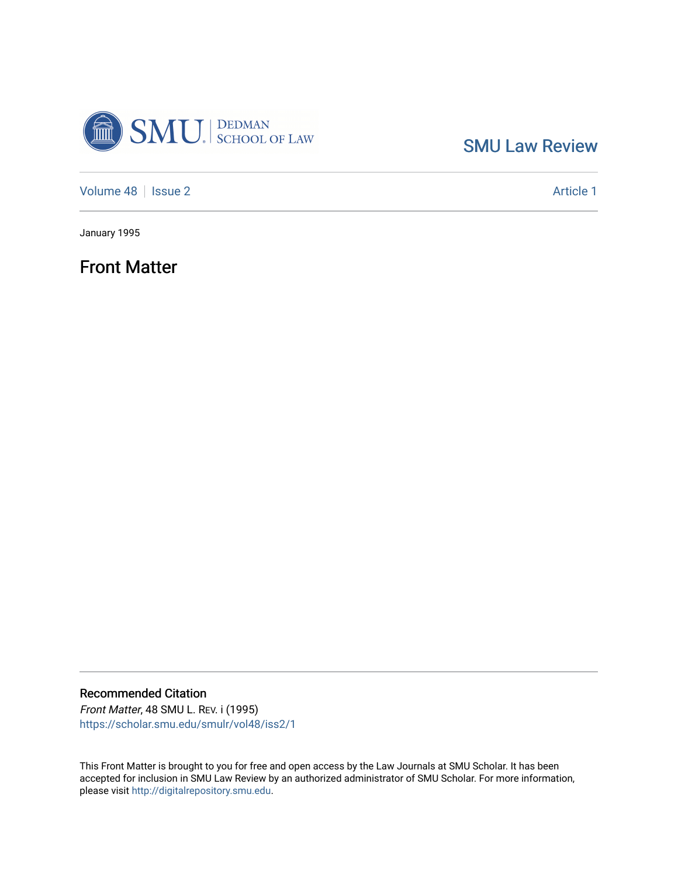

[SMU Law Review](https://scholar.smu.edu/smulr) 

[Volume 48](https://scholar.smu.edu/smulr/vol48) | [Issue 2](https://scholar.smu.edu/smulr/vol48/iss2) Article 1

January 1995

Front Matter

Recommended Citation Front Matter, 48 SMU L. REV. i (1995)

[https://scholar.smu.edu/smulr/vol48/iss2/1](https://scholar.smu.edu/smulr/vol48/iss2/1?utm_source=scholar.smu.edu%2Fsmulr%2Fvol48%2Fiss2%2F1&utm_medium=PDF&utm_campaign=PDFCoverPages) 

This Front Matter is brought to you for free and open access by the Law Journals at SMU Scholar. It has been accepted for inclusion in SMU Law Review by an authorized administrator of SMU Scholar. For more information, please visit [http://digitalrepository.smu.edu.](http://digitalrepository.smu.edu/)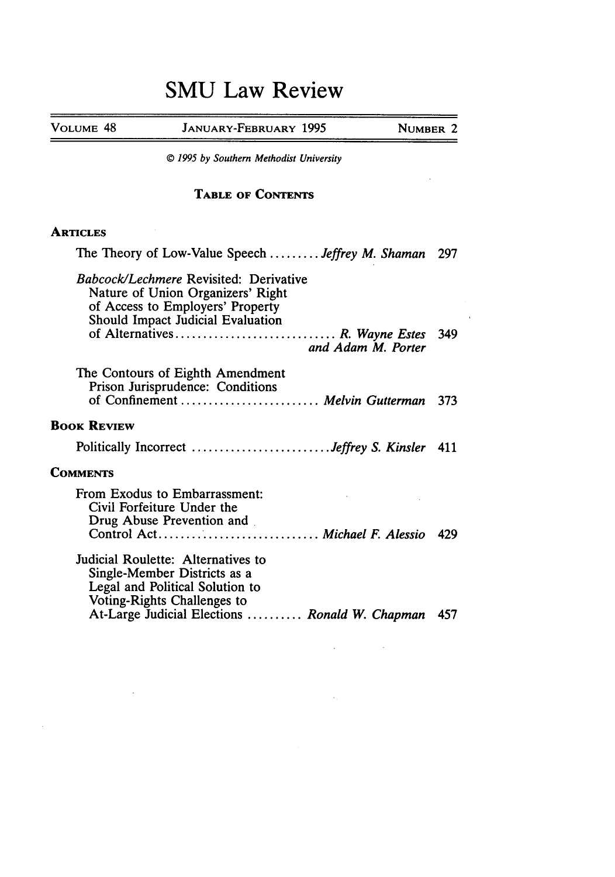## **SMU Law Review**

| The Theory of Low-Value Speech  Jeffrey M. Shaman<br>297 |
|----------------------------------------------------------|
| 349                                                      |
| of Confinement  Melvin Gutterman<br>373                  |
|                                                          |
| Politically Incorrect Jeffrey S. Kinsler<br>411          |
|                                                          |
| - 429                                                    |
| At-Large Judicial Elections  Ronald W. Chapman<br>457    |
| and Adam M. Porter                                       |

 $\label{eq:2.1} \frac{1}{\sqrt{2}}\int_{\mathbb{R}^3}\frac{1}{\sqrt{2}}\left(\frac{1}{\sqrt{2}}\right)^2\frac{1}{\sqrt{2}}\left(\frac{1}{\sqrt{2}}\right)^2\frac{1}{\sqrt{2}}\left(\frac{1}{\sqrt{2}}\right)^2.$ 

 $\mathcal{L}_{\text{max}}$  and  $\mathcal{L}_{\text{max}}$ 

 $\label{eq:2.1} \frac{1}{\sqrt{2}}\int_{\mathbb{R}^{2}}\left|\frac{d\mathbf{y}}{d\mathbf{x}}\right|^{2}d\mathbf{x}^{2}d\mathbf{x}^{2}d\mathbf{x}^{2}d\mathbf{x}^{2}d\mathbf{x}^{2}d\mathbf{x}^{2}d\mathbf{x}^{2}d\mathbf{x}^{2}d\mathbf{x}^{2}d\mathbf{x}^{2}d\mathbf{x}^{2}d\mathbf{x}^{2}d\mathbf{x}^{2}d\mathbf{x}^{2}d\mathbf{x}^{2}d\mathbf{x}^{2}d\mathbf{x}^{2}d\mathbf{x}^{2}d\$ 

 $\mathcal{L}^{\text{max}}_{\text{max}}$  , where  $\mathcal{L}^{\text{max}}_{\text{max}}$